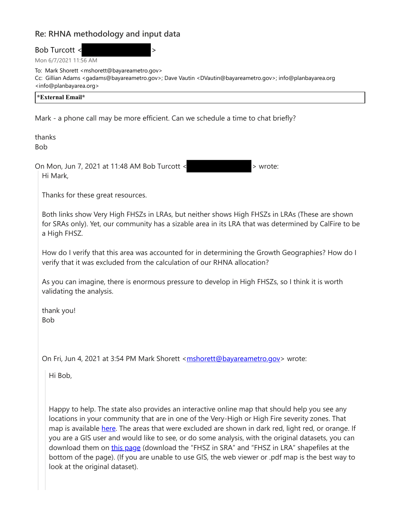## **Re: RHNA methodology and input data**

Bob Turcott <

Mon 6/7/2021 11:56 AM

To: Mark Shorett <mshorett@bayareametro.gov> Cc: Gillian Adams <gadams@bayareametro.gov>; Dave Vautin <DVautin@bayareametro.gov>; info@planbayarea.org <info@planbayarea.org>

| *External Email* |  |  |
|------------------|--|--|
|                  |  |  |

Mark - a phone call may be more efficient. Can we schedule a time to chat briefly?

thanks Bob

On Mon, Jun 7, 2021 at 11:48 AM Bob Turcott <  $\blacksquare$  > wrote: Hi Mark,

Thanks for these great resources.

Both links show Very High FHSZs in LRAs, but neither shows High FHSZs in LRAs (These are shown for SRAs only). Yet, our community has a sizable area in its LRA that was determined by CalFire to be a High FHSZ.

How do I verify that this area was accounted for in determining the Growth Geographies? How do I verify that it was excluded from the calculation of our RHNA allocation?

As you can imagine, there is enormous pressure to develop in High FHSZs, so I think it is worth validating the analysis.

thank you! Bob

On Fri, Jun 4, 2021 at 3:54 PM Mark Shorett <mshorett@bayareametro.gov> wrote:

Hi Bob,

Happy to help. The state also provides an interactive online map that should help you see any locations in your community that are in one of the Very-High or High Fire severity zones. That map is available here. The areas that were excluded are shown in dark red, light red, or orange. If you are a GIS user and would like to see, or do some analysis, with the original datasets, you can download them on this page (download the "FHSZ in SRA" and "FHSZ in LRA" shapefiles at the bottom of the page). (If you are unable to use GIS, the web viewer or .pdf map is the best way to look at the original dataset).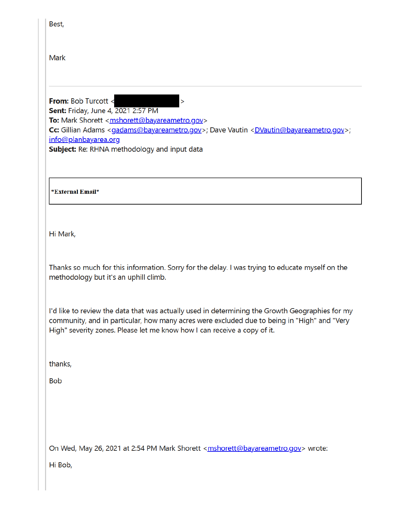| Cc: Gillian Adams <gadams@bayareametro.gov>; Dave Vautin <dvautin@bayareametro.gov>;</dvautin@bayareametro.gov></gadams@bayareametro.gov>                                                      |
|------------------------------------------------------------------------------------------------------------------------------------------------------------------------------------------------|
|                                                                                                                                                                                                |
|                                                                                                                                                                                                |
| Thanks so much for this information. Sorry for the delay. I was trying to educate myself on the                                                                                                |
| I'd like to review the data that was actually used in determining the Growth Geographies for my<br>community, and in particular, how many acres were excluded due to being in "High" and "Very |
|                                                                                                                                                                                                |
|                                                                                                                                                                                                |
|                                                                                                                                                                                                |
|                                                                                                                                                                                                |
|                                                                                                                                                                                                |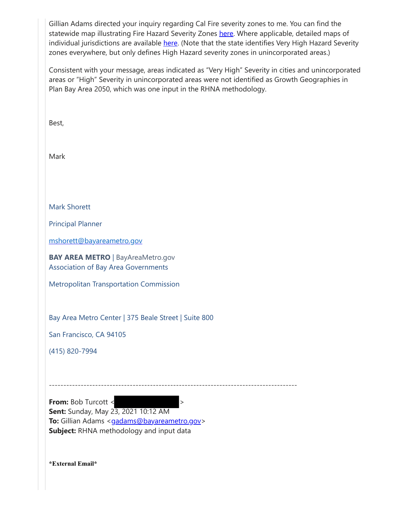Gillian Adams directed your inquiry regarding Cal Fire severity zones to me. You can find the statewide map illustrating Fire Hazard Severity Zones here. Where applicable, detailed maps of individual jurisdictions are available here. (Note that the state identifies Very High Hazard Severity zones everywhere, but only defines High Hazard severity zones in unincorporated areas.)

Consistent with your message, areas indicated as "Very High" Severity in cities and unincorporated areas or "High" Severity in unincorporated areas were not identified as Growth Geographies in Plan Bay Area 2050, which was one input in the RHNA methodology.

Best, Mark Mark Shorett Principal Planner mshorett@bayareametro.gov **BAY AREA METRO** | BayAreaMetro.gov Association of Bay Area Governments Metropolitan Transportation Commission Bay Area Metro Center | 375 Beale Street | Suite 800 San Francisco, CA 94105 (415) 820-7994 -------------------------------------------------------------------------------------- **From:** Bob Turcott <  $\rightarrow$ **Sent:** Sunday, May 23, 2021 10:12 AM **To:** Gillian Adams <gadams@bayareametro.gov> **Subject:** RHNA methodology and input data

**\*External Email\***